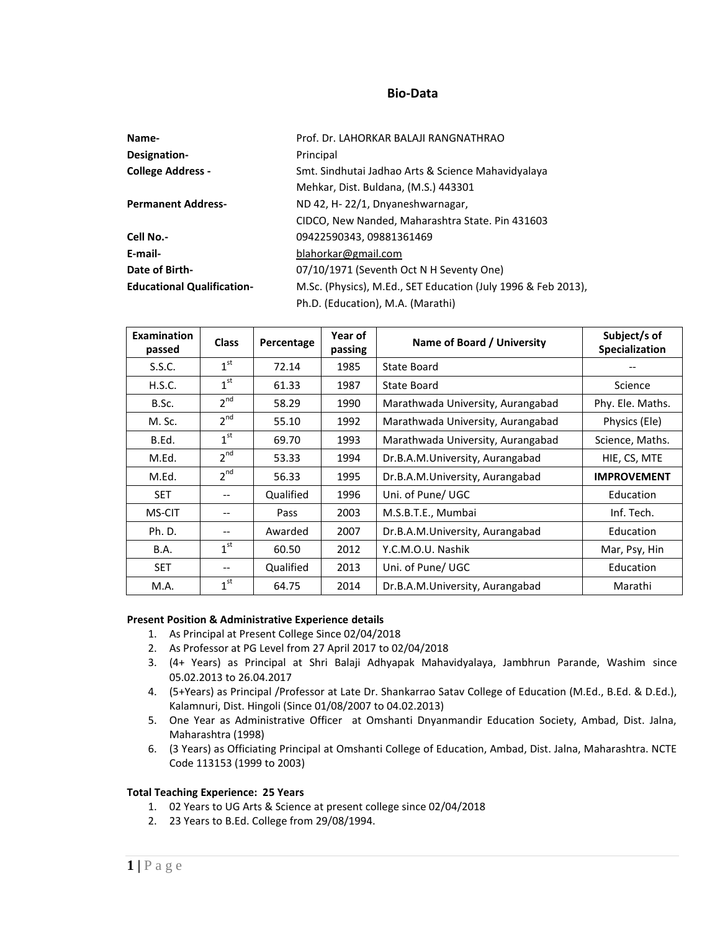## **Bio-Data**

| Name-                             | Prof. Dr. LAHORKAR BALAJI RANGNATHRAO                         |
|-----------------------------------|---------------------------------------------------------------|
| Designation-                      | Principal                                                     |
| <b>College Address -</b>          | Smt. Sindhutai Jadhao Arts & Science Mahavidyalaya            |
|                                   | Mehkar, Dist. Buldana, (M.S.) 443301                          |
| <b>Permanent Address-</b>         | ND 42, H-22/1, Dnyaneshwarnagar,                              |
|                                   | CIDCO, New Nanded, Maharashtra State. Pin 431603              |
| Cell No.-                         | 09422590343, 09881361469                                      |
| E-mail-                           | blahorkar@gmail.com                                           |
| Date of Birth-                    | 07/10/1971 (Seventh Oct N H Seventy One)                      |
| <b>Educational Qualification-</b> | M.Sc. (Physics), M.Ed., SET Education (July 1996 & Feb 2013), |
|                                   | Ph.D. (Education), M.A. (Marathi)                             |

| Examination<br>passed | <b>Class</b>    | Percentage | Year of<br>passing | Name of Board / University        | Subject/s of<br>Specialization |
|-----------------------|-----------------|------------|--------------------|-----------------------------------|--------------------------------|
| S.S.C.                | $1^{\text{st}}$ | 72.14      | 1985               | State Board                       |                                |
| H.S.C.                | $1^{\rm st}$    | 61.33      | 1987               | State Board                       | Science                        |
| B.Sc.                 | $2^{nd}$        | 58.29      | 1990               | Marathwada University, Aurangabad | Phy. Ele. Maths.               |
| M. Sc.                | $2^{nd}$        | 55.10      | 1992               | Marathwada University, Aurangabad | Physics (Ele)                  |
| B.Ed.                 | $1^{\text{st}}$ | 69.70      | 1993               | Marathwada University, Aurangabad | Science, Maths.                |
| M.Ed.                 | $2^{nd}$        | 53.33      | 1994               | Dr.B.A.M.University, Aurangabad   | HIE, CS, MTE                   |
| M.Ed.                 | $2^{nd}$        | 56.33      | 1995               | Dr.B.A.M.University, Aurangabad   | <b>IMPROVEMENT</b>             |
| <b>SET</b>            |                 | Qualified  | 1996               | Uni. of Pune/ UGC                 | Education                      |
| <b>MS-CIT</b>         |                 | Pass       | 2003               | M.S.B.T.E., Mumbai                | Inf. Tech.                     |
| Ph. D.                |                 | Awarded    | 2007               | Dr.B.A.M.University, Aurangabad   | Education                      |
| <b>B.A.</b>           | $1^{\rm st}$    | 60.50      | 2012               | Y.C.M.O.U. Nashik                 | Mar, Psy, Hin                  |
| <b>SET</b>            |                 | Qualified  | 2013               | Uni. of Pune/ UGC                 | Education                      |
| M.A.                  | $1^{\rm st}$    | 64.75      | 2014               | Dr.B.A.M.University, Aurangabad   | Marathi                        |

#### **Present Position & Administrative Experience details**

- 1. As Principal at Present College Since 02/04/2018
- 2. As Professor at PG Level from 27 April 2017 to 02/04/2018
- 3. (4+ Years) as Principal at Shri Balaji Adhyapak Mahavidyalaya, Jambhrun Parande, Washim since 05.02.2013 to 26.04.2017
- 4. (5+Years) as Principal /Professor at Late Dr. Shankarrao Satav College of Education (M.Ed., B.Ed. & D.Ed.), Kalamnuri, Dist. Hingoli (Since 01/08/2007 to 04.02.2013)
- 5. One Year as Administrative Officer at Omshanti Dnyanmandir Education Society, Ambad, Dist. Jalna, Maharashtra (1998)
- 6. (3 Years) as Officiating Principal at Omshanti College of Education, Ambad, Dist. Jalna, Maharashtra. NCTE Code 113153 (1999 to 2003)

#### **Total Teaching Experience: 25 Years**

- 1. 02 Years to UG Arts & Science at present college since 02/04/2018
- 2. 23 Years to B.Ed. College from 29/08/1994.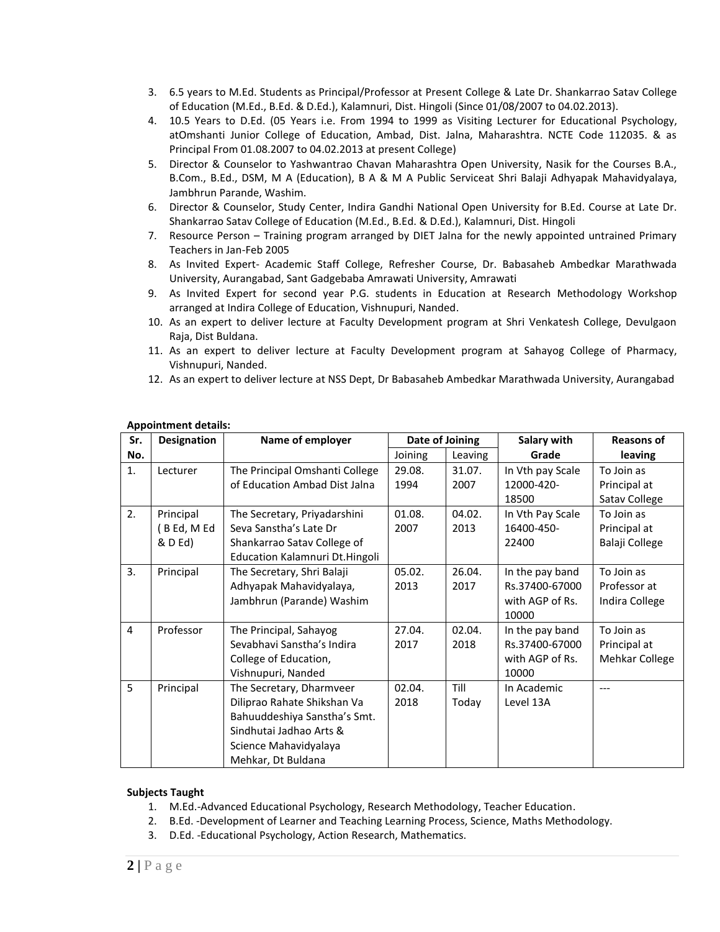- 3. 6.5 years to M.Ed. Students as Principal/Professor at Present College & Late Dr. Shankarrao Satav College of Education (M.Ed., B.Ed. & D.Ed.), Kalamnuri, Dist. Hingoli (Since 01/08/2007 to 04.02.2013).
- 4. 10.5 Years to D.Ed. (05 Years i.e. From 1994 to 1999 as Visiting Lecturer for Educational Psychology, atOmshanti Junior College of Education, Ambad, Dist. Jalna, Maharashtra. NCTE Code 112035. & as Principal From 01.08.2007 to 04.02.2013 at present College)
- 5. Director & Counselor to Yashwantrao Chavan Maharashtra Open University, Nasik for the Courses B.A., B.Com., B.Ed., DSM, M A (Education), B A & M A Public Serviceat Shri Balaji Adhyapak Mahavidyalaya, Jambhrun Parande, Washim.
- 6. Director & Counselor, Study Center, Indira Gandhi National Open University for B.Ed. Course at Late Dr. Shankarrao Satav College of Education (M.Ed., B.Ed. & D.Ed.), Kalamnuri, Dist. Hingoli
- 7. Resource Person Training program arranged by DIET Jalna for the newly appointed untrained Primary Teachers in Jan-Feb 2005
- 8. As Invited Expert- Academic Staff College, Refresher Course, Dr. Babasaheb Ambedkar Marathwada University, Aurangabad, Sant Gadgebaba Amrawati University, Amrawati
- 9. As Invited Expert for second year P.G. students in Education at Research Methodology Workshop arranged at Indira College of Education, Vishnupuri, Nanded.
- 10. As an expert to deliver lecture at Faculty Development program at Shri Venkatesh College, Devulgaon Raja, Dist Buldana.
- 11. As an expert to deliver lecture at Faculty Development program at Sahayog College of Pharmacy, Vishnupuri, Nanded.
- 12. As an expert to deliver lecture at NSS Dept, Dr Babasaheb Ambedkar Marathwada University, Aurangabad

| Sr.            | <b>Designation</b> | Name of employer               | Date of Joining |         | Salary with      | <b>Reasons of</b> |
|----------------|--------------------|--------------------------------|-----------------|---------|------------------|-------------------|
| No.            |                    |                                | Joining         | Leaving | Grade            | leaving           |
| 1.             | Lecturer           | The Principal Omshanti College | 29.08.          | 31.07.  | In Vth pay Scale | To Join as        |
|                |                    | of Education Ambad Dist Jalna  | 1994            | 2007    | 12000-420-       | Principal at      |
|                |                    |                                |                 |         | 18500            | Satav College     |
| 2.             | Principal          | The Secretary, Priyadarshini   | 01.08.          | 04.02.  | In Vth Pay Scale | To Join as        |
|                | (BEd, MEd          | Seva Sanstha's Late Dr         | 2007            | 2013    | 16400-450-       | Principal at      |
|                | & D Ed)            | Shankarrao Satav College of    |                 |         | 22400            | Balaji College    |
|                |                    | Education Kalamnuri Dt.Hingoli |                 |         |                  |                   |
| 3.             | Principal          | The Secretary, Shri Balaji     | 05.02.          | 26.04.  | In the pay band  | To Join as        |
|                |                    | Adhyapak Mahavidyalaya,        | 2013            | 2017    | Rs.37400-67000   | Professor at      |
|                |                    | Jambhrun (Parande) Washim      |                 |         | with AGP of Rs.  | Indira College    |
|                |                    |                                |                 |         | 10000            |                   |
| $\overline{4}$ | Professor          | The Principal, Sahayog         | 27.04.          | 02.04.  | In the pay band  | To Join as        |
|                |                    | Sevabhavi Sanstha's Indira     | 2017            | 2018    | Rs.37400-67000   | Principal at      |
|                |                    | College of Education,          |                 |         | with AGP of Rs.  | Mehkar College    |
|                |                    | Vishnupuri, Nanded             |                 |         | 10000            |                   |
| 5              | Principal          | The Secretary, Dharmveer       | 02.04.          | Till    | In Academic      | ---               |
|                |                    | Diliprao Rahate Shikshan Va    | 2018            | Today   | Level 13A        |                   |
|                |                    | Bahuuddeshiya Sanstha's Smt.   |                 |         |                  |                   |
|                |                    | Sindhutai Jadhao Arts &        |                 |         |                  |                   |
|                |                    | Science Mahavidyalaya          |                 |         |                  |                   |
|                |                    | Mehkar, Dt Buldana             |                 |         |                  |                   |

## **Appointment details:**

#### **Subjects Taught**

- 1. M.Ed.-Advanced Educational Psychology, Research Methodology, Teacher Education.
- 2. B.Ed. -Development of Learner and Teaching Learning Process, Science, Maths Methodology.
- 3. D.Ed. -Educational Psychology, Action Research, Mathematics.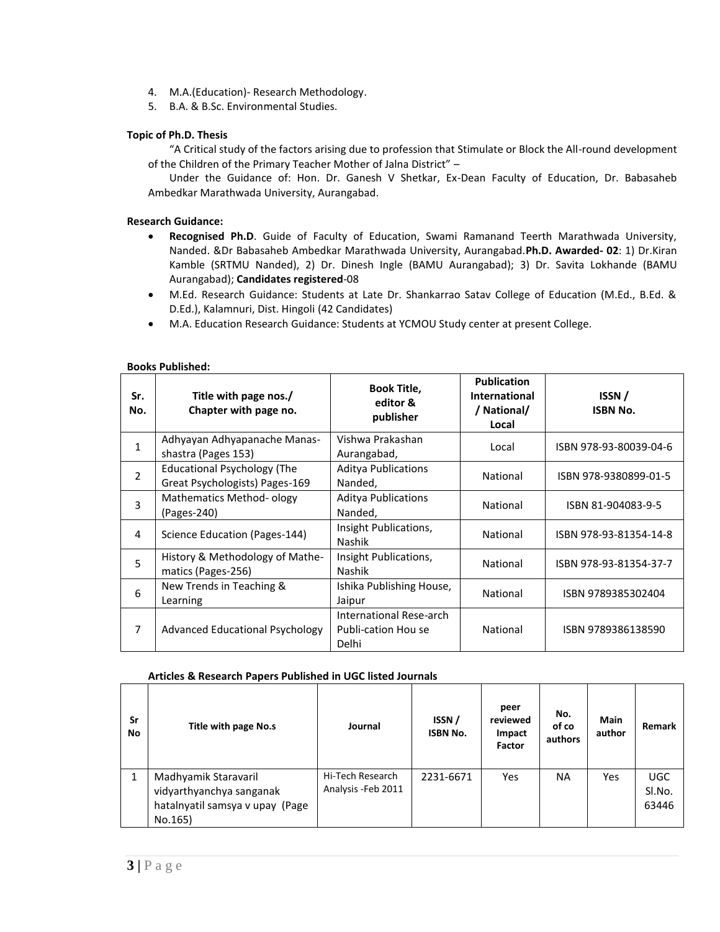- 4. M.A.(Education)- Research Methodology.
- 5. B.A. & B.Sc. Environmental Studies.

## **Topic of Ph.D. Thesis**

"A Critical study of the factors arising due to profession that Stimulate or Block the All-round development of the Children of the Primary Teacher Mother of Jalna District" –

Under the Guidance of: Hon. Dr. Ganesh V Shetkar, Ex-Dean Faculty of Education, Dr. Babasaheb Ambedkar Marathwada University, Aurangabad.

#### **Research Guidance:**

- **Recognised Ph.D**. Guide of Faculty of Education, Swami Ramanand Teerth Marathwada University, Nanded. &Dr Babasaheb Ambedkar Marathwada University, Aurangabad.**Ph.D. Awarded- 02**: 1) Dr.Kiran Kamble (SRTMU Nanded), 2) Dr. Dinesh Ingle (BAMU Aurangabad); 3) Dr. Savita Lokhande (BAMU Aurangabad); **Candidates registered**-08
- M.Ed. Research Guidance: Students at Late Dr. Shankarrao Satav College of Education (M.Ed., B.Ed. & D.Ed.), Kalamnuri, Dist. Hingoli (42 Candidates)
- M.A. Education Research Guidance: Students at YCMOU Study center at present College.

| Sr.<br>No.     | Title with page nos./<br>Chapter with page no.                       | <b>Book Title,</b><br>editor &<br>publisher             | <b>Publication</b><br>International<br>/ National/<br>Local | ISSN/<br><b>ISBN No.</b> |
|----------------|----------------------------------------------------------------------|---------------------------------------------------------|-------------------------------------------------------------|--------------------------|
| 1              | Adhyayan Adhyapanache Manas-<br>shastra (Pages 153)                  | Vishwa Prakashan<br>Aurangabad,                         | Local                                                       | ISBN 978-93-80039-04-6   |
| $\overline{2}$ | <b>Educational Psychology (The</b><br>Great Psychologists) Pages-169 | <b>Aditya Publications</b><br>Nanded,                   | National                                                    | ISBN 978-9380899-01-5    |
| 3              | Mathematics Method-ology<br>(Pages-240)                              | <b>Aditya Publications</b><br>Nanded,                   | National                                                    | ISBN 81-904083-9-5       |
| 4              | Science Education (Pages-144)                                        | Insight Publications,<br>Nashik                         | National                                                    | ISBN 978-93-81354-14-8   |
| 5              | History & Methodology of Mathe-<br>matics (Pages-256)                | Insight Publications,<br><b>Nashik</b>                  | National                                                    | ISBN 978-93-81354-37-7   |
| 6              | New Trends in Teaching &<br>Learning                                 | Ishika Publishing House,<br>Jaipur                      | National                                                    | ISBN 9789385302404       |
| 7              | Advanced Educational Psychology                                      | International Rese-arch<br>Publi-cation Hou se<br>Delhi | National                                                    | ISBN 9789386138590       |

#### **Books Published:**

#### **Articles & Research Papers Published in UGC listed Journals**

| Sr<br>No | Title with page No.s                                                                           | Journal                                 | ISSN/<br><b>ISBN No.</b> | peer<br>reviewed<br>Impact<br>Factor | No.<br>of co<br>authors | Main<br>author | Remark                        |
|----------|------------------------------------------------------------------------------------------------|-----------------------------------------|--------------------------|--------------------------------------|-------------------------|----------------|-------------------------------|
|          | Madhyamik Staravaril<br>vidyarthyanchya sanganak<br>hatalnyatil samsya v upay (Page<br>No.165) | Hi-Tech Research<br>Analysis - Feb 2011 | 2231-6671                | Yes                                  | NA                      | Yes            | <b>UGC</b><br>SI.No.<br>63446 |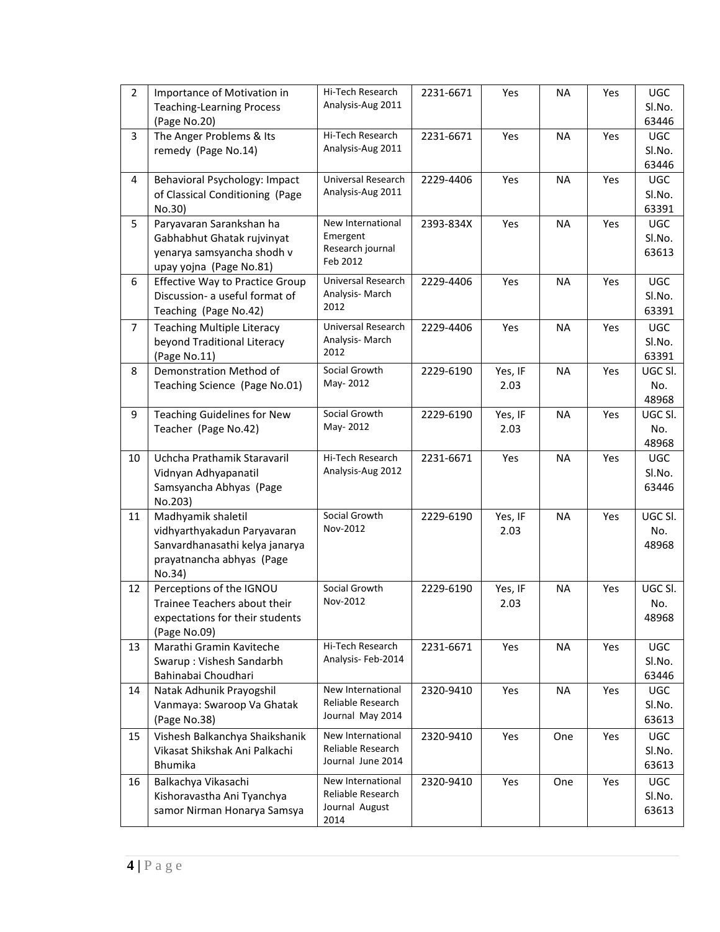| $\overline{2}$ | Importance of Motivation in<br><b>Teaching-Learning Process</b><br>(Page No.20)                                            | Hi-Tech Research<br>Analysis-Aug 2011                            | 2231-6671 | Yes             | <b>NA</b> | Yes | <b>UGC</b><br>Sl.No.<br>63446 |
|----------------|----------------------------------------------------------------------------------------------------------------------------|------------------------------------------------------------------|-----------|-----------------|-----------|-----|-------------------------------|
| $\overline{3}$ | The Anger Problems & Its<br>remedy (Page No.14)                                                                            | Hi-Tech Research<br>Analysis-Aug 2011                            | 2231-6671 | Yes             | <b>NA</b> | Yes | <b>UGC</b><br>Sl.No.<br>63446 |
| 4              | Behavioral Psychology: Impact<br>of Classical Conditioning (Page<br>No.30)                                                 | Universal Research<br>Analysis-Aug 2011                          | 2229-4406 | Yes             | <b>NA</b> | Yes | <b>UGC</b><br>Sl.No.<br>63391 |
| 5              | Paryavaran Sarankshan ha<br>Gabhabhut Ghatak rujvinyat<br>yenarya samsyancha shodh v<br>upay yojna (Page No.81)            | New International<br>Emergent<br>Research journal<br>Feb 2012    | 2393-834X | Yes             | <b>NA</b> | Yes | <b>UGC</b><br>Sl.No.<br>63613 |
| 6              | <b>Effective Way to Practice Group</b><br>Discussion- a useful format of<br>Teaching (Page No.42)                          | Universal Research<br>Analysis-March<br>2012                     | 2229-4406 | Yes             | <b>NA</b> | Yes | <b>UGC</b><br>Sl.No.<br>63391 |
| $\overline{7}$ | <b>Teaching Multiple Literacy</b><br>beyond Traditional Literacy<br>(Page No.11)                                           | Universal Research<br>Analysis-March<br>2012                     | 2229-4406 | Yes             | <b>NA</b> | Yes | <b>UGC</b><br>Sl.No.<br>63391 |
| 8              | Demonstration Method of<br>Teaching Science (Page No.01)                                                                   | Social Growth<br>May-2012                                        | 2229-6190 | Yes, IF<br>2.03 | <b>NA</b> | Yes | UGC SI.<br>No.<br>48968       |
| 9              | <b>Teaching Guidelines for New</b><br>Teacher (Page No.42)                                                                 | Social Growth<br>May-2012                                        | 2229-6190 | Yes, IF<br>2.03 | <b>NA</b> | Yes | UGC SI.<br>No.<br>48968       |
| 10             | Uchcha Prathamik Staravaril<br>Vidnyan Adhyapanatil<br>Samsyancha Abhyas (Page<br>No.203)                                  | Hi-Tech Research<br>Analysis-Aug 2012                            | 2231-6671 | Yes             | <b>NA</b> | Yes | <b>UGC</b><br>Sl.No.<br>63446 |
| 11             | Madhyamik shaletil<br>vidhyarthyakadun Paryavaran<br>Sanvardhanasathi kelya janarya<br>prayatnancha abhyas (Page<br>No.34) | Social Growth<br>Nov-2012                                        | 2229-6190 | Yes, IF<br>2.03 | <b>NA</b> | Yes | UGC SI.<br>No.<br>48968       |
| 12             | Perceptions of the IGNOU<br>Trainee Teachers about their<br>expectations for their students<br>(Page No.09)                | Social Growth<br>Nov-2012                                        | 2229-6190 | Yes, IF<br>2.03 | <b>NA</b> | Yes | UGC SI.<br>No.<br>48968       |
| 13             | Marathi Gramin Kaviteche<br>Swarup: Vishesh Sandarbh<br>Bahinabai Choudhari                                                | Hi-Tech Research<br>Analysis-Feb-2014                            | 2231-6671 | Yes             | <b>NA</b> | Yes | UGC<br>Sl.No.<br>63446        |
| 14             | Natak Adhunik Prayogshil<br>Vanmaya: Swaroop Va Ghatak<br>(Page No.38)                                                     | New International<br>Reliable Research<br>Journal May 2014       | 2320-9410 | Yes             | <b>NA</b> | Yes | UGC<br>Sl.No.<br>63613        |
| 15             | Vishesh Balkanchya Shaikshanik<br>Vikasat Shikshak Ani Palkachi<br><b>Bhumika</b>                                          | New International<br>Reliable Research<br>Journal June 2014      | 2320-9410 | Yes             | One       | Yes | UGC<br>Sl.No.<br>63613        |
| 16             | Balkachya Vikasachi<br>Kishoravastha Ani Tyanchya<br>samor Nirman Honarya Samsya                                           | New International<br>Reliable Research<br>Journal August<br>2014 | 2320-9410 | Yes             | One       | Yes | <b>UGC</b><br>Sl.No.<br>63613 |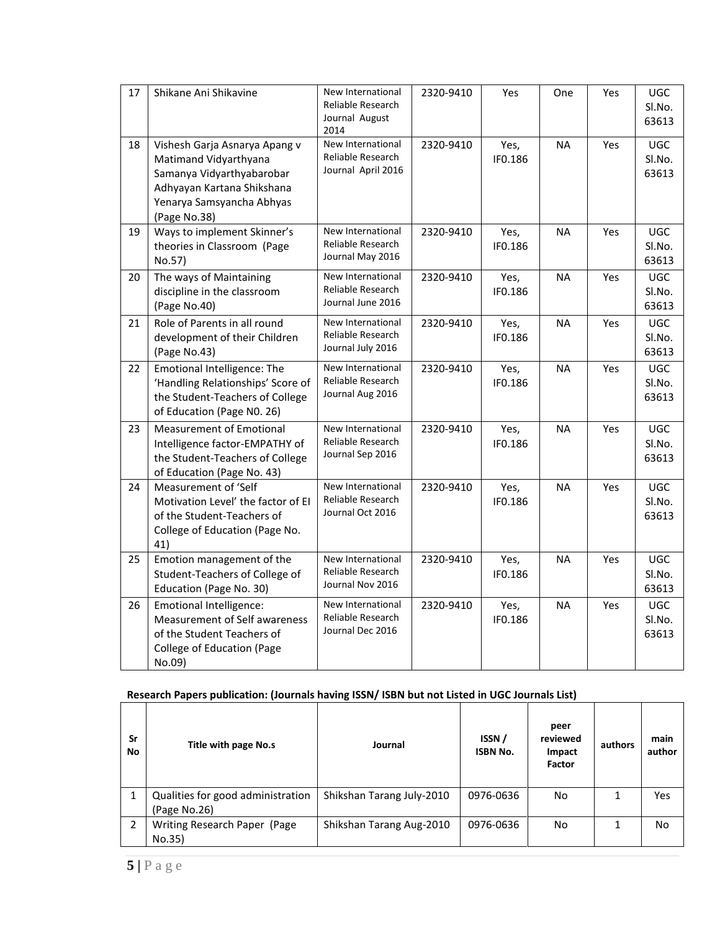| 17 | Shikane Ani Shikavine                                                                                                                                          | New International<br>Reliable Research<br>Journal August<br>2014 | 2320-9410 | Yes             | One       | Yes | <b>UGC</b><br>SI.No.<br>63613 |
|----|----------------------------------------------------------------------------------------------------------------------------------------------------------------|------------------------------------------------------------------|-----------|-----------------|-----------|-----|-------------------------------|
| 18 | Vishesh Garja Asnarya Apang v<br>Matimand Vidyarthyana<br>Samanya Vidyarthyabarobar<br>Adhyayan Kartana Shikshana<br>Yenarya Samsyancha Abhyas<br>(Page No.38) | New International<br>Reliable Research<br>Journal April 2016     | 2320-9410 | Yes,<br>IF0.186 | <b>NA</b> | Yes | <b>UGC</b><br>SI.No.<br>63613 |
| 19 | Ways to implement Skinner's<br>theories in Classroom (Page<br>No.57)                                                                                           | New International<br>Reliable Research<br>Journal May 2016       | 2320-9410 | Yes,<br>IF0.186 | <b>NA</b> | Yes | <b>UGC</b><br>Sl.No.<br>63613 |
| 20 | The ways of Maintaining<br>discipline in the classroom<br>(Page No.40)                                                                                         | New International<br>Reliable Research<br>Journal June 2016      | 2320-9410 | Yes,<br>IF0.186 | <b>NA</b> | Yes | <b>UGC</b><br>SI.No.<br>63613 |
| 21 | Role of Parents in all round<br>development of their Children<br>(Page No.43)                                                                                  | New International<br>Reliable Research<br>Journal July 2016      | 2320-9410 | Yes,<br>IF0.186 | <b>NA</b> | Yes | <b>UGC</b><br>SI.No.<br>63613 |
| 22 | Emotional Intelligence: The<br>'Handling Relationships' Score of<br>the Student-Teachers of College<br>of Education (Page NO. 26)                              | New International<br>Reliable Research<br>Journal Aug 2016       | 2320-9410 | Yes,<br>IF0.186 | <b>NA</b> | Yes | <b>UGC</b><br>Sl.No.<br>63613 |
| 23 | <b>Measurement of Emotional</b><br>Intelligence factor-EMPATHY of<br>the Student-Teachers of College<br>of Education (Page No. 43)                             | New International<br>Reliable Research<br>Journal Sep 2016       | 2320-9410 | Yes,<br>IF0.186 | <b>NA</b> | Yes | <b>UGC</b><br>Sl.No.<br>63613 |
| 24 | Measurement of 'Self<br>Motivation Level' the factor of EI<br>of the Student-Teachers of<br>College of Education (Page No.<br>41)                              | New International<br>Reliable Research<br>Journal Oct 2016       | 2320-9410 | Yes,<br>IF0.186 | <b>NA</b> | Yes | <b>UGC</b><br>Sl.No.<br>63613 |
| 25 | Emotion management of the<br>Student-Teachers of College of<br>Education (Page No. 30)                                                                         | New International<br>Reliable Research<br>Journal Nov 2016       | 2320-9410 | Yes,<br>IF0.186 | <b>NA</b> | Yes | <b>UGC</b><br>SI.No.<br>63613 |
| 26 | Emotional Intelligence:<br>Measurement of Self awareness<br>of the Student Teachers of<br><b>College of Education (Page</b><br>No.09)                          | New International<br>Reliable Research<br>Journal Dec 2016       | 2320-9410 | Yes,<br>IF0.186 | <b>NA</b> | Yes | UGC<br>Sl.No.<br>63613        |

# **Research Papers publication: (Journals having ISSN/ ISBN but not Listed in UGC Journals List)**

| Sr<br>No | Title with page No.s                              | Journal                   | ISSN/<br><b>ISBN No.</b> | peer<br>reviewed<br>Impact<br>Factor | authors | main<br>author |
|----------|---------------------------------------------------|---------------------------|--------------------------|--------------------------------------|---------|----------------|
|          | Qualities for good administration<br>(Page No.26) | Shikshan Tarang July-2010 | 0976-0636                | No                                   |         | Yes            |
| 2        | Writing Research Paper (Page<br>No.35)            | Shikshan Tarang Aug-2010  | 0976-0636                | No                                   | 1       | <b>No</b>      |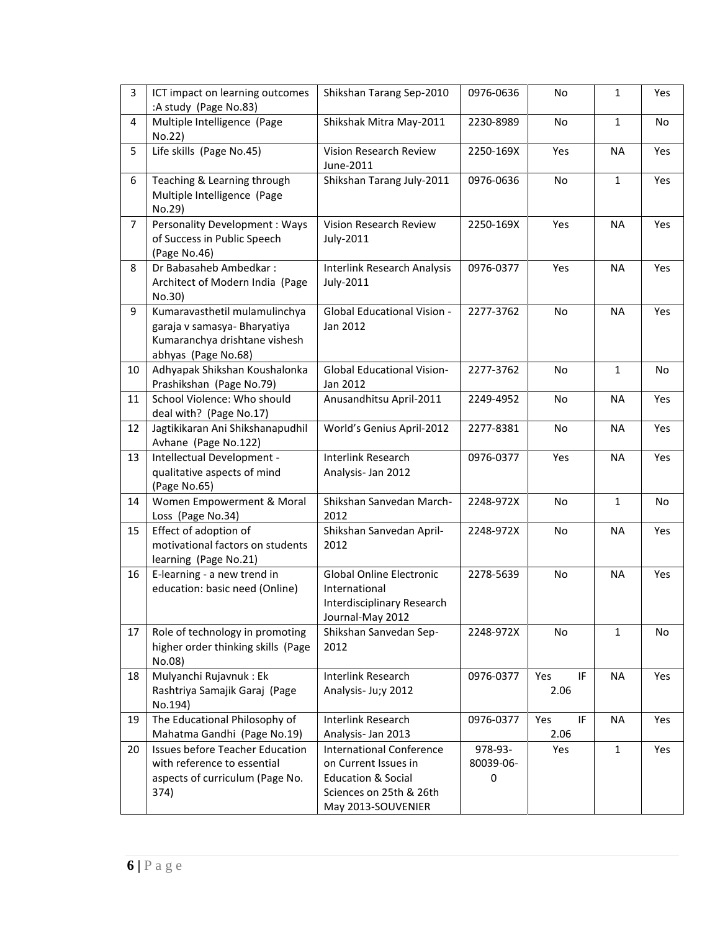| $\overline{3}$ | ICT impact on learning outcomes<br>:A study (Page No.83)                                                              | Shikshan Tarang Sep-2010                                                                                                                  | 0976-0636                 | No                | 1            | Yes |
|----------------|-----------------------------------------------------------------------------------------------------------------------|-------------------------------------------------------------------------------------------------------------------------------------------|---------------------------|-------------------|--------------|-----|
| 4              | Multiple Intelligence (Page<br>No.22)                                                                                 | Shikshak Mitra May-2011                                                                                                                   | 2230-8989                 | No                | 1            | No  |
| 5              | Life skills (Page No.45)                                                                                              | Vision Research Review<br>June-2011                                                                                                       | 2250-169X                 | Yes               | <b>NA</b>    | Yes |
| 6              | Teaching & Learning through<br>Multiple Intelligence (Page<br>No.29)                                                  | Shikshan Tarang July-2011                                                                                                                 | 0976-0636                 | No                | $\mathbf{1}$ | Yes |
| $\overline{7}$ | <b>Personality Development: Ways</b><br>of Success in Public Speech<br>(Page No.46)                                   | <b>Vision Research Review</b><br>July-2011                                                                                                | 2250-169X                 | Yes               | <b>NA</b>    | Yes |
| 8              | Dr Babasaheb Ambedkar:<br>Architect of Modern India (Page<br>No.30)                                                   | <b>Interlink Research Analysis</b><br>July-2011                                                                                           | 0976-0377                 | Yes               | <b>NA</b>    | Yes |
| 9              | Kumaravasthetil mulamulinchya<br>garaja v samasya- Bharyatiya<br>Kumaranchya drishtane vishesh<br>abhyas (Page No.68) | <b>Global Educational Vision -</b><br>Jan 2012                                                                                            | 2277-3762                 | No                | <b>NA</b>    | Yes |
| 10             | Adhyapak Shikshan Koushalonka<br>Prashikshan (Page No.79)                                                             | <b>Global Educational Vision-</b><br>Jan 2012                                                                                             | 2277-3762                 | No                | 1            | No  |
| 11             | School Violence: Who should<br>deal with? (Page No.17)                                                                | Anusandhitsu April-2011                                                                                                                   | 2249-4952                 | <b>No</b>         | <b>NA</b>    | Yes |
| 12             | Jagtikikaran Ani Shikshanapudhil<br>Avhane (Page No.122)                                                              | World's Genius April-2012                                                                                                                 | 2277-8381                 | No                | <b>NA</b>    | Yes |
| 13             | Intellectual Development -<br>qualitative aspects of mind<br>(Page No.65)                                             | Interlink Research<br>Analysis- Jan 2012                                                                                                  | 0976-0377                 | Yes               | <b>NA</b>    | Yes |
| 14             | Women Empowerment & Moral<br>Loss (Page No.34)                                                                        | Shikshan Sanvedan March-<br>2012                                                                                                          | 2248-972X                 | No                | 1            | No  |
| 15             | Effect of adoption of<br>motivational factors on students<br>learning (Page No.21)                                    | Shikshan Sanvedan April-<br>2012                                                                                                          | 2248-972X                 | No                | <b>NA</b>    | Yes |
| 16             | E-learning - a new trend in<br>education: basic need (Online)                                                         | <b>Global Online Electronic</b><br>International<br>Interdisciplinary Research<br>Journal-May 2012                                        | 2278-5639                 | No                | <b>NA</b>    | Yes |
| 17             | Role of technology in promoting<br>higher order thinking skills (Page<br>No.08)                                       | Shikshan Sanvedan Sep-<br>2012                                                                                                            | 2248-972X                 | <b>No</b>         | $\mathbf{1}$ | No  |
| 18             | Mulyanchi Rujavnuk: Ek<br>Rashtriya Samajik Garaj (Page<br>No.194)                                                    | Interlink Research<br>Analysis- Ju;y 2012                                                                                                 | 0976-0377                 | Yes<br>IF<br>2.06 | <b>NA</b>    | Yes |
| 19             | The Educational Philosophy of<br>Mahatma Gandhi (Page No.19)                                                          | <b>Interlink Research</b><br>Analysis- Jan 2013                                                                                           | 0976-0377                 | IF<br>Yes<br>2.06 | <b>NA</b>    | Yes |
| 20             | <b>Issues before Teacher Education</b><br>with reference to essential<br>aspects of curriculum (Page No.<br>374)      | <b>International Conference</b><br>on Current Issues in<br><b>Education &amp; Social</b><br>Sciences on 25th & 26th<br>May 2013-SOUVENIER | 978-93-<br>80039-06-<br>0 | Yes               | $\mathbf{1}$ | Yes |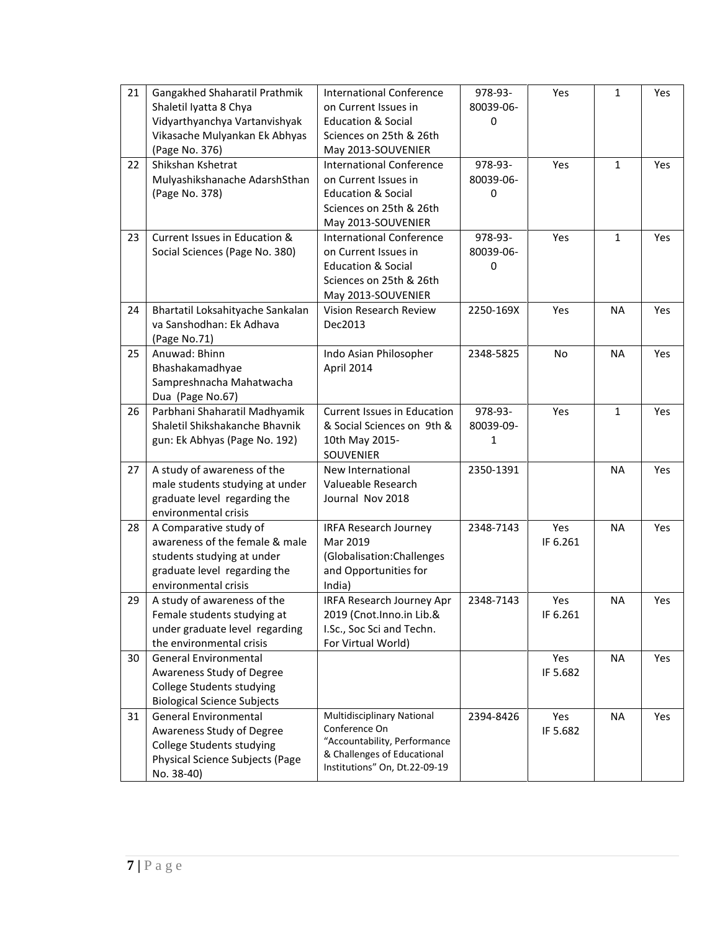| 21 | Gangakhed Shaharatil Prathmik<br>Shaletil Iyatta 8 Chya<br>Vidyarthyanchya Vartanvishyak                                                       | <b>International Conference</b><br>on Current Issues in<br><b>Education &amp; Social</b>                                                           | 978-93-<br>80039-06-<br>0 | Yes             | $\mathbf{1}$ | Yes |
|----|------------------------------------------------------------------------------------------------------------------------------------------------|----------------------------------------------------------------------------------------------------------------------------------------------------|---------------------------|-----------------|--------------|-----|
|    | Vikasache Mulyankan Ek Abhyas<br>(Page No. 376)                                                                                                | Sciences on 25th & 26th<br>May 2013-SOUVENIER                                                                                                      |                           |                 |              |     |
| 22 | Shikshan Kshetrat<br>Mulyashikshanache AdarshSthan<br>(Page No. 378)                                                                           | <b>International Conference</b><br>on Current Issues in<br><b>Education &amp; Social</b><br>Sciences on 25th & 26th<br>May 2013-SOUVENIER          | 978-93-<br>80039-06-<br>0 | Yes             | $\mathbf{1}$ | Yes |
| 23 | Current Issues in Education &<br>Social Sciences (Page No. 380)                                                                                | <b>International Conference</b><br>on Current Issues in<br><b>Education &amp; Social</b><br>Sciences on 25th & 26th<br>May 2013-SOUVENIER          | 978-93-<br>80039-06-<br>0 | Yes             | $\mathbf{1}$ | Yes |
| 24 | Bhartatil Loksahityache Sankalan<br>va Sanshodhan: Ek Adhava<br>(Page No.71)                                                                   | Vision Research Review<br>Dec2013                                                                                                                  | 2250-169X                 | Yes             | <b>NA</b>    | Yes |
| 25 | Anuwad: Bhinn<br>Bhashakamadhyae<br>Sampreshnacha Mahatwacha<br>Dua (Page No.67)                                                               | Indo Asian Philosopher<br>April 2014                                                                                                               | 2348-5825                 | No              | <b>NA</b>    | Yes |
| 26 | Parbhani Shaharatil Madhyamik<br>Shaletil Shikshakanche Bhavnik<br>gun: Ek Abhyas (Page No. 192)                                               | <b>Current Issues in Education</b><br>& Social Sciences on 9th &<br>10th May 2015-<br>SOUVENIER                                                    | 978-93-<br>80039-09-<br>1 | Yes             | $\mathbf{1}$ | Yes |
| 27 | A study of awareness of the<br>male students studying at under<br>graduate level regarding the<br>environmental crisis                         | New International<br>Valueable Research<br>Journal Nov 2018                                                                                        | 2350-1391                 |                 | <b>NA</b>    | Yes |
| 28 | A Comparative study of<br>awareness of the female & male<br>students studying at under<br>graduate level regarding the<br>environmental crisis | IRFA Research Journey<br>Mar 2019<br>(Globalisation:Challenges<br>and Opportunities for<br>India)                                                  | 2348-7143                 | Yes<br>IF 6.261 | <b>NA</b>    | Yes |
| 29 | A study of awareness of the<br>Female students studying at<br>under graduate level regarding<br>the environmental crisis                       | IRFA Research Journey Apr<br>2019 (Cnot.Inno.in Lib.&<br>I.Sc., Soc Sci and Techn.<br>For Virtual World)                                           | 2348-7143                 | Yes<br>IF 6.261 | <b>NA</b>    | Yes |
| 30 | <b>General Environmental</b><br>Awareness Study of Degree<br>College Students studying<br><b>Biological Science Subjects</b>                   |                                                                                                                                                    |                           | Yes<br>IF 5.682 | <b>NA</b>    | Yes |
| 31 | <b>General Environmental</b><br>Awareness Study of Degree<br><b>College Students studying</b><br>Physical Science Subjects (Page<br>No. 38-40) | <b>Multidisciplinary National</b><br>Conference On<br>"Accountability, Performance<br>& Challenges of Educational<br>Institutions" On, Dt.22-09-19 | 2394-8426                 | Yes<br>IF 5.682 | <b>NA</b>    | Yes |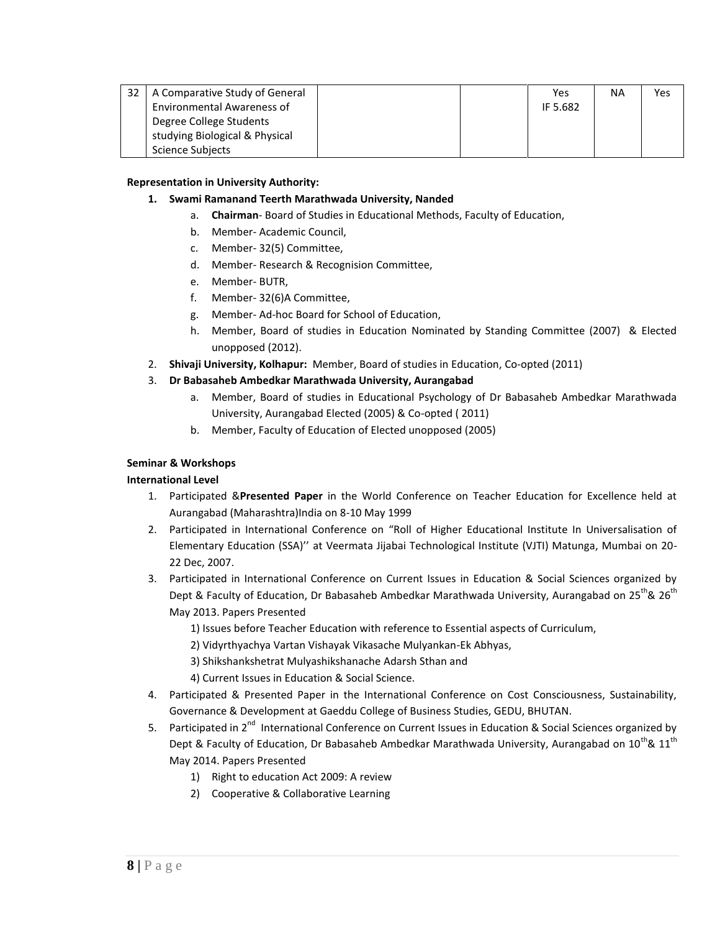| 32 I | A Comparative Study of General |  | Yes      | <b>NA</b> | Yes |
|------|--------------------------------|--|----------|-----------|-----|
|      | Environmental Awareness of     |  | IF 5.682 |           |     |
|      | Degree College Students        |  |          |           |     |
|      | studying Biological & Physical |  |          |           |     |
|      | Science Subjects               |  |          |           |     |

## **Representation in University Authority:**

## **1. Swami Ramanand Teerth Marathwada University, Nanded**

- a. **Chairman** Board of Studies in Educational Methods, Faculty of Education,
- b. Member- Academic Council,
- c. Member- 32(5) Committee,
- d. Member- Research & Recognision Committee,
- e. Member- BUTR,
- f. Member- 32(6)A Committee,
- g. Member- Ad-hoc Board for School of Education,
- h. Member, Board of studies in Education Nominated by Standing Committee (2007) & Elected unopposed (2012).
- 2. **Shivaji University, Kolhapur:** Member, Board of studies in Education, Co-opted (2011)

# 3. **Dr Babasaheb Ambedkar Marathwada University, Aurangabad**

- a. Member, Board of studies in Educational Psychology of Dr Babasaheb Ambedkar Marathwada University, Aurangabad Elected (2005) & Co-opted ( 2011)
- b. Member, Faculty of Education of Elected unopposed (2005)

## **Seminar & Workshops**

# **International Level**

- 1. Participated &**Presented Paper** in the World Conference on Teacher Education for Excellence held at Aurangabad (Maharashtra)India on 8-10 May 1999
- 2. Participated in International Conference on "Roll of Higher Educational Institute In Universalisation of Elementary Education (SSA)'' at Veermata Jijabai Technological Institute (VJTI) Matunga, Mumbai on 20- 22 Dec, 2007.
- 3. Participated in International Conference on Current Issues in Education & Social Sciences organized by Dept & Faculty of Education, Dr Babasaheb Ambedkar Marathwada University, Aurangabad on  $25^{th}$ &  $26^{th}$ May 2013. Papers Presented
	- 1) Issues before Teacher Education with reference to Essential aspects of Curriculum,
	- 2) Vidyrthyachya Vartan Vishayak Vikasache Mulyankan-Ek Abhyas,
	- 3) Shikshankshetrat Mulyashikshanache Adarsh Sthan and
	- 4) Current Issues in Education & Social Science.
- 4. Participated & Presented Paper in the International Conference on Cost Consciousness, Sustainability, Governance & Development at Gaeddu College of Business Studies, GEDU, BHUTAN.
- 5. Participated in 2<sup>nd</sup> International Conference on Current Issues in Education & Social Sciences organized by Dept & Faculty of Education, Dr Babasaheb Ambedkar Marathwada University, Aurangabad on  $10^{th}$ &  $11^{th}$ May 2014. Papers Presented
	- 1) Right to education Act 2009: A review
	- 2) Cooperative & Collaborative Learning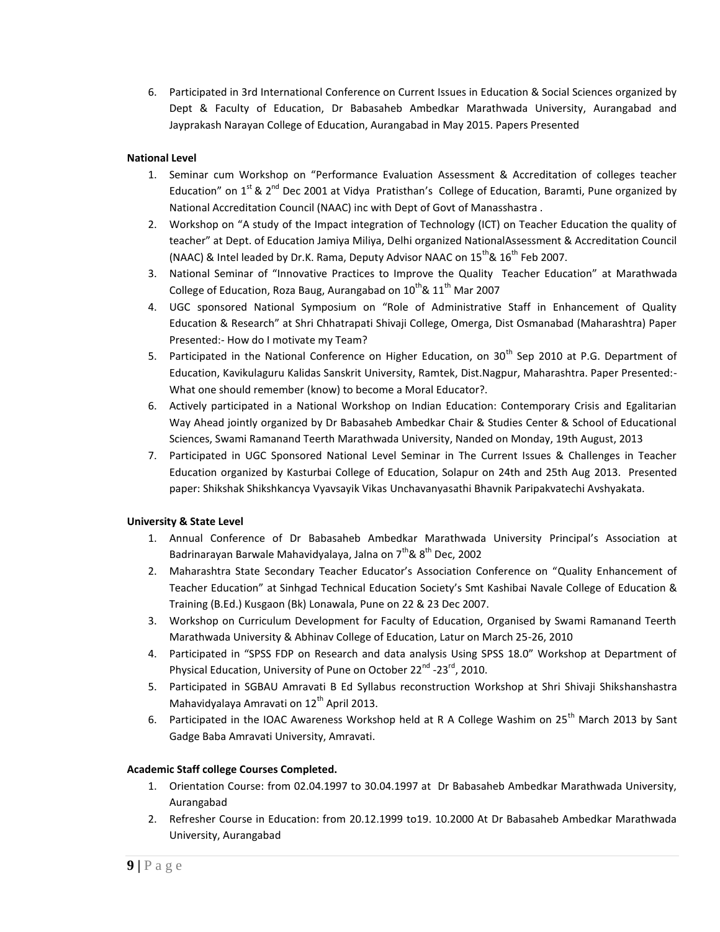6. Participated in 3rd International Conference on Current Issues in Education & Social Sciences organized by Dept & Faculty of Education, Dr Babasaheb Ambedkar Marathwada University, Aurangabad and Jayprakash Narayan College of Education, Aurangabad in May 2015. Papers Presented

# **National Level**

- 1. Seminar cum Workshop on "Performance Evaluation Assessment & Accreditation of colleges teacher Education" on  $1^{st}$  &  $2^{nd}$  Dec 2001 at Vidya Pratisthan's College of Education, Baramti, Pune organized by National Accreditation Council (NAAC) inc with Dept of Govt of Manasshastra .
- 2. Workshop on "A study of the Impact integration of Technology (ICT) on Teacher Education the quality of teacher" at Dept. of Education Jamiya Miliya, Delhi organized NationalAssessment & Accreditation Council (NAAC) & Intel leaded by Dr.K. Rama, Deputy Advisor NAAC on  $15^{th}$ &  $16^{th}$  Feb 2007.
- 3. National Seminar of "Innovative Practices to Improve the Quality Teacher Education" at Marathwada College of Education, Roza Baug, Aurangabad on  $10^{th}$ &  $11^{th}$  Mar 2007
- 4. UGC sponsored National Symposium on "Role of Administrative Staff in Enhancement of Quality Education & Research" at Shri Chhatrapati Shivaji College, Omerga, Dist Osmanabad (Maharashtra) Paper Presented:- How do I motivate my Team?
- 5. Participated in the National Conference on Higher Education, on 30<sup>th</sup> Sep 2010 at P.G. Department of Education, Kavikulaguru Kalidas Sanskrit University, Ramtek, Dist.Nagpur, Maharashtra. Paper Presented:- What one should remember (know) to become a Moral Educator?.
- 6. Actively participated in a National Workshop on Indian Education: Contemporary Crisis and Egalitarian Way Ahead jointly organized by Dr Babasaheb Ambedkar Chair & Studies Center & School of Educational Sciences, Swami Ramanand Teerth Marathwada University, Nanded on Monday, 19th August, 2013
- 7. Participated in UGC Sponsored National Level Seminar in The Current Issues & Challenges in Teacher Education organized by Kasturbai College of Education, Solapur on 24th and 25th Aug 2013. Presented paper: Shikshak Shikshkancya Vyavsayik Vikas Unchavanyasathi Bhavnik Paripakvatechi Avshyakata.

# **University & State Level**

- 1. Annual Conference of Dr Babasaheb Ambedkar Marathwada University Principal's Association at Badrinarayan Barwale Mahavidyalaya, Jalna on  $7^{th}$ &  $8^{th}$  Dec, 2002
- 2. Maharashtra State Secondary Teacher Educator's Association Conference on "Quality Enhancement of Teacher Education" at Sinhgad Technical Education Society's Smt Kashibai Navale College of Education & Training (B.Ed.) Kusgaon (Bk) Lonawala, Pune on 22 & 23 Dec 2007.
- 3. Workshop on Curriculum Development for Faculty of Education, Organised by Swami Ramanand Teerth Marathwada University & Abhinav College of Education, Latur on March 25-26, 2010
- 4. Participated in "SPSS FDP on Research and data analysis Using SPSS 18.0" Workshop at Department of Physical Education, University of Pune on October 22<sup>nd</sup> -23<sup>rd</sup>, 2010.
- 5. Participated in SGBAU Amravati B Ed Syllabus reconstruction Workshop at Shri Shivaji Shikshanshastra Mahavidyalaya Amravati on  $12^{th}$  April 2013.
- 6. Participated in the IOAC Awareness Workshop held at R A College Washim on  $25<sup>th</sup>$  March 2013 by Sant Gadge Baba Amravati University, Amravati.

# **Academic Staff college Courses Completed.**

- 1. Orientation Course: from 02.04.1997 to 30.04.1997 at Dr Babasaheb Ambedkar Marathwada University, Aurangabad
- 2. Refresher Course in Education: from 20.12.1999 to19. 10.2000 At Dr Babasaheb Ambedkar Marathwada University, Aurangabad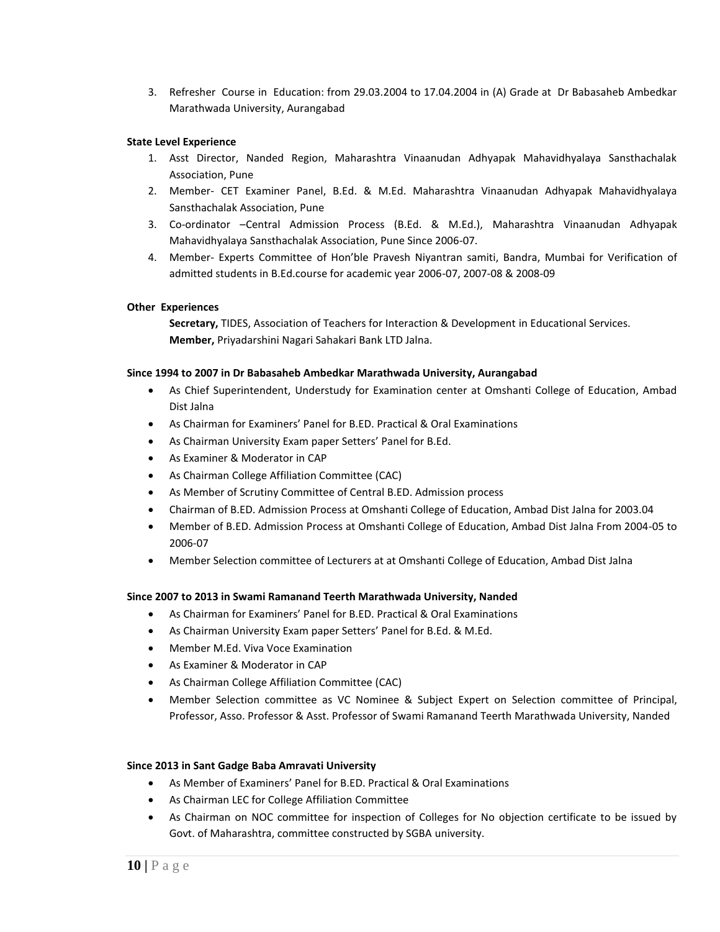3. Refresher Course in Education: from 29.03.2004 to 17.04.2004 in (A) Grade at Dr Babasaheb Ambedkar Marathwada University, Aurangabad

## **State Level Experience**

- 1. Asst Director, Nanded Region, Maharashtra Vinaanudan Adhyapak Mahavidhyalaya Sansthachalak Association, Pune
- 2. Member- CET Examiner Panel, B.Ed. & M.Ed. Maharashtra Vinaanudan Adhyapak Mahavidhyalaya Sansthachalak Association, Pune
- 3. Co-ordinator –Central Admission Process (B.Ed. & M.Ed.), Maharashtra Vinaanudan Adhyapak Mahavidhyalaya Sansthachalak Association, Pune Since 2006-07.
- 4. Member- Experts Committee of Hon'ble Pravesh Niyantran samiti, Bandra, Mumbai for Verification of admitted students in B.Ed.course for academic year 2006-07, 2007-08 & 2008-09

## **Other Experiences**

**Secretary,** TIDES, Association of Teachers for Interaction & Development in Educational Services. **Member,** Priyadarshini Nagari Sahakari Bank LTD Jalna.

#### **Since 1994 to 2007 in Dr Babasaheb Ambedkar Marathwada University, Aurangabad**

- As Chief Superintendent, Understudy for Examination center at Omshanti College of Education, Ambad Dist Jalna
- As Chairman for Examiners' Panel for B.ED. Practical & Oral Examinations
- As Chairman University Exam paper Setters' Panel for B.Ed.
- As Examiner & Moderator in CAP
- As Chairman College Affiliation Committee (CAC)
- As Member of Scrutiny Committee of Central B.ED. Admission process
- Chairman of B.ED. Admission Process at Omshanti College of Education, Ambad Dist Jalna for 2003.04
- Member of B.ED. Admission Process at Omshanti College of Education, Ambad Dist Jalna From 2004-05 to 2006-07
- Member Selection committee of Lecturers at at Omshanti College of Education, Ambad Dist Jalna

# **Since 2007 to 2013 in Swami Ramanand Teerth Marathwada University, Nanded**

- As Chairman for Examiners' Panel for B.ED. Practical & Oral Examinations
- As Chairman University Exam paper Setters' Panel for B.Ed. & M.Ed.
- Member M.Ed. Viva Voce Examination
- As Examiner & Moderator in CAP
- As Chairman College Affiliation Committee (CAC)
- Member Selection committee as VC Nominee & Subject Expert on Selection committee of Principal, Professor, Asso. Professor & Asst. Professor of Swami Ramanand Teerth Marathwada University, Nanded

#### **Since 2013 in Sant Gadge Baba Amravati University**

- As Member of Examiners' Panel for B.ED. Practical & Oral Examinations
- As Chairman LEC for College Affiliation Committee
- As Chairman on NOC committee for inspection of Colleges for No objection certificate to be issued by Govt. of Maharashtra, committee constructed by SGBA university.